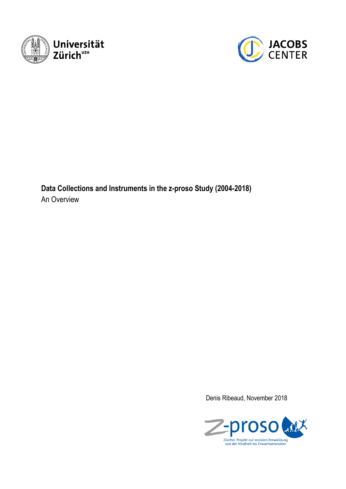



**Data Collections and Instruments in the z-proso Study (2004-2018)** An Overview

Denis Ribeaud, November 2018

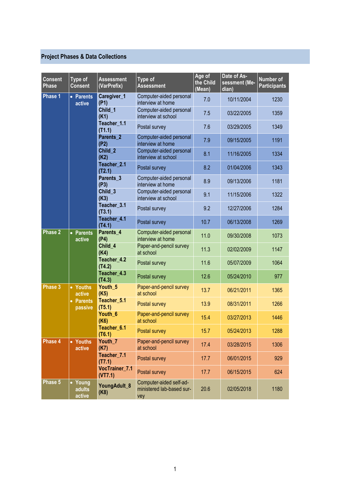# **Project Phases & Data Collections**

| <b>Consent</b><br><b>Phase</b> | Type of<br><b>Consent</b>              | <b>Assessment</b><br>(VarPrefix) | Type of<br><b>Assessment</b>                                | Age of<br>the Child<br>(Mean) | Date of As-<br>sessment (Me-<br>dian) | Number of<br><b>Participants</b> |
|--------------------------------|----------------------------------------|----------------------------------|-------------------------------------------------------------|-------------------------------|---------------------------------------|----------------------------------|
| Phase 1                        | • Parents<br>active                    | Caregiver_1<br>(P1)              | Computer-aided personal<br>interview at home                | 7.0                           | 10/11/2004                            | 1230                             |
|                                |                                        | Child 1<br>(K1)                  | Computer-aided personal<br>interview at school              | 7.5                           | 03/22/2005                            | 1359                             |
|                                |                                        | Teacher_1.1<br>(T1.1)            | Postal survey                                               | 7.6                           | 03/29/2005                            | 1349                             |
|                                |                                        | Parents <sub>2</sub><br>(P2)     | Computer-aided personal<br>interview at home                | 7.9                           | 09/15/2005                            | 1191                             |
|                                |                                        | Child_2<br>(K2)                  | Computer-aided personal<br>interview at school              | 8.1                           | 11/16/2005                            | 1334                             |
|                                |                                        | Teacher_2.1<br>(T2.1)            | Postal survey                                               | 8.2                           | 01/04/2006                            | 1343                             |
|                                |                                        | Parents_3<br>(P3)                | Computer-aided personal<br>interview at home                | 8.9                           | 09/13/2006                            | 1181                             |
|                                |                                        | Child_3<br>(K3)                  | Computer-aided personal<br>interview at school              | 9.1                           | 11/15/2006                            | 1322                             |
|                                |                                        | Teacher_3.1<br>(T3.1)            | Postal survey                                               | 9.2                           | 12/27/2006                            | 1284                             |
|                                |                                        | Teacher_4.1<br>(T4.1)            | Postal survey                                               | 10.7                          | 06/13/2008                            | 1269                             |
| <b>Phase 2</b>                 | • Parents<br>active                    | Parents_4<br>(P4)                | Computer-aided personal<br>interview at home                | 11.0                          | 09/30/2008                            | 1073                             |
|                                |                                        | Child 4<br>(K4)                  | Paper-and-pencil survey<br>at school                        | 11.3                          | 02/02/2009                            | 1147                             |
|                                |                                        | Teacher_4.2<br>(T4.2)            | Postal survey                                               | 11.6                          | 05/07/2009                            | 1064                             |
|                                |                                        | Teacher_4.3<br>(T4.3)            | Postal survey                                               | 12.6                          | 05/24/2010                            | 977                              |
| Phase 3                        | • Youths<br>active                     | Youth_5<br>(K5)                  | Paper-and-pencil survey<br>at school                        | 13.7                          | 06/21/2011                            | 1365                             |
|                                | <b>Parents</b><br>$\bullet$<br>passive | Teacher 5.1<br>(T5.1)            | Postal survey                                               | 13.9                          | 08/31/2011                            | 1266                             |
|                                |                                        | Youth_6<br>(K6)                  | Paper-and-pencil survey<br>at school                        | 15.4                          | 03/27/2013                            | 1446                             |
|                                |                                        | Teacher 6.1<br>(T6.1)            | Postal survey                                               | 15.7                          | 05/24/2013                            | 1288                             |
| Phase 4                        | • Youths<br>active                     | Youth_7<br>(K7)                  | Paper-and-pencil survey<br>at school                        | 17.4                          | 03/28/2015                            | 1306                             |
|                                |                                        | Teacher_7.1<br>(T7.1)            | Postal survey                                               | 17.7                          | 06/01/2015                            | 929                              |
|                                |                                        | VocTrainer_7.1<br>(VT7.1)        | Postal survey                                               | 17.7                          | 06/15/2015                            | 624                              |
| Phase 5                        | Young<br>adults<br>active              | YoungAdult_8<br>(K8)             | Computer-aided self-ad-<br>ministered lab-based sur-<br>vey | 20.6                          | 02/05/2018                            | 1180                             |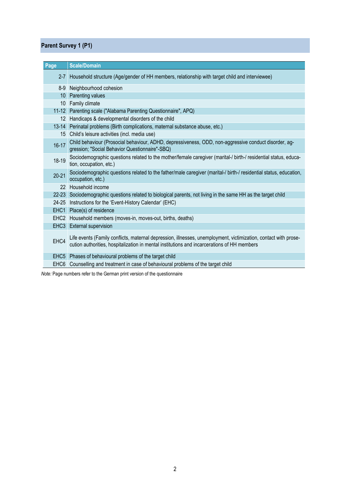## **Parent Survey 1 (P1)**

| Page             | <b>Scale/Domain</b>                                                                                                                                                                                            |
|------------------|----------------------------------------------------------------------------------------------------------------------------------------------------------------------------------------------------------------|
|                  | 2-7 Household structure (Age/gender of HH members, relationship with target child and interviewee)                                                                                                             |
| $8-9$            | Neighbourhood cohesion                                                                                                                                                                                         |
|                  | 10 Parenting values                                                                                                                                                                                            |
|                  | 10 Family climate                                                                                                                                                                                              |
|                  | 11-12 Parenting scale ("Alabama Parenting Questionnaire", APQ)                                                                                                                                                 |
|                  | 12 Handicaps & developmental disorders of the child                                                                                                                                                            |
|                  | 13-14 Perinatal problems (Birth complications, maternal substance abuse, etc.)                                                                                                                                 |
|                  | 15 Child's leisure activities (incl. media use)                                                                                                                                                                |
| $16 - 17$        | Child behaviour (Prosocial behaviour, ADHD, depressiveness, ODD, non-aggressive conduct disorder, ag-<br>gression; "Social Behavior Questionnaire"-SBQ)                                                        |
| 18-19            | Sociodemographic questions related to the mother/female caregiver (marital-/ birth-/ residential status, educa-<br>tion, occupation, etc.)                                                                     |
| $20 - 21$        | Sociodemographic questions related to the father/male caregiver (marital-/ birth-/ residential status, education,<br>occupation, etc.)                                                                         |
|                  | 22 Household income                                                                                                                                                                                            |
|                  | 22-23 Sociodemographic questions related to biological parents, not living in the same HH as the target child                                                                                                  |
|                  | 24-25 Instructions for the 'Event-History Calendar' (EHC)                                                                                                                                                      |
|                  | EHC1 Place(s) of residence                                                                                                                                                                                     |
| EHC <sub>2</sub> | Household members (moves-in, moves-out, births, deaths)                                                                                                                                                        |
|                  | EHC3 External supervision                                                                                                                                                                                      |
| EHC4             | Life events (Family conflicts, maternal depression, illnesses, unemployment, victimization, contact with prose-<br>cution authorities, hospitalization in mental institutions and incarcerations of HH members |
|                  | EHC5 Phases of behavioural problems of the target child                                                                                                                                                        |
| EHC <sub>6</sub> | Counselling and treatment in case of behavioural problems of the target child                                                                                                                                  |

*Note:* Page numbers refer to the German print version of the questionnaire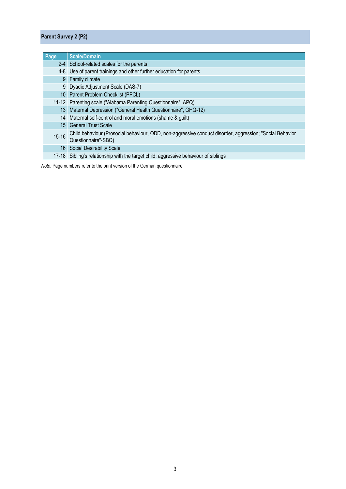### **Parent Survey 2 (P2)**

| Page      | <b>Scale/Domain</b>                                                                                                             |
|-----------|---------------------------------------------------------------------------------------------------------------------------------|
|           | 2-4 School-related scales for the parents                                                                                       |
|           | 4-8 Use of parent trainings and other further education for parents                                                             |
|           | 9 Family climate                                                                                                                |
|           | 9 Dyadic Adjustment Scale (DAS-7)                                                                                               |
|           | 10 Parent Problem Checklist (PPCL)                                                                                              |
|           | 11-12 Parenting scale ("Alabama Parenting Questionnaire", APQ)                                                                  |
|           | 13 Maternal Depression ("General Health Questionnaire", GHQ-12)                                                                 |
|           | 14 Maternal self-control and moral emotions (shame & guilt)                                                                     |
|           | 15 General Trust Scale                                                                                                          |
| $15 - 16$ | Child behaviour (Prosocial behaviour, ODD, non-aggressive conduct disorder, aggression; "Social Behavior<br>Questionnaire"-SBQ) |
|           | 16 Social Desirability Scale                                                                                                    |
|           | 17-18 Sibling's relationship with the target child; aggressive behaviour of siblings                                            |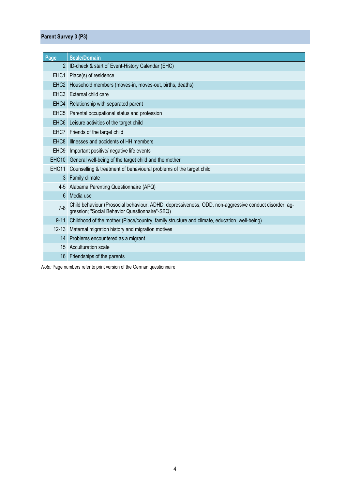### **Parent Survey 3 (P3)**

| Page              | <b>Scale/Domain</b>                                                                                                                                     |
|-------------------|---------------------------------------------------------------------------------------------------------------------------------------------------------|
| 2                 | ID-check & start of Event-History Calendar (EHC)                                                                                                        |
| EHC <sub>1</sub>  | Place(s) of residence                                                                                                                                   |
| EHC <sub>2</sub>  | Household members (moves-in, moves-out, births, deaths)                                                                                                 |
|                   | EHC3 External child care                                                                                                                                |
| EHC4              | Relationship with separated parent                                                                                                                      |
|                   | EHC5 Parental occupational status and profession                                                                                                        |
|                   | EHC6 Leisure activities of the target child                                                                                                             |
|                   | EHC7 Friends of the target child                                                                                                                        |
| EHC <sub>8</sub>  | Illnesses and accidents of HH members                                                                                                                   |
|                   | EHC9 Important positive/ negative life events                                                                                                           |
| EHC <sub>10</sub> | General well-being of the target child and the mother                                                                                                   |
| EHC <sub>11</sub> | Counselling & treatment of behavioural problems of the target child                                                                                     |
| 3                 | Family climate                                                                                                                                          |
|                   | 4-5 Alabama Parenting Questionnaire (APQ)                                                                                                               |
| 6                 | Media use                                                                                                                                               |
| $7 - 8$           | Child behaviour (Prosocial behaviour, ADHD, depressiveness, ODD, non-aggressive conduct disorder, ag-<br>gression; "Social Behavior Questionnaire"-SBQ) |
| $9 - 11$          | Childhood of the mother (Place/country, family structure and climate, education, well-being)                                                            |
|                   | 12-13 Maternal migration history and migration motives                                                                                                  |
| 14                | Problems encountered as a migrant                                                                                                                       |
|                   | 15 Acculturation scale                                                                                                                                  |
| 16                | Friendships of the parents                                                                                                                              |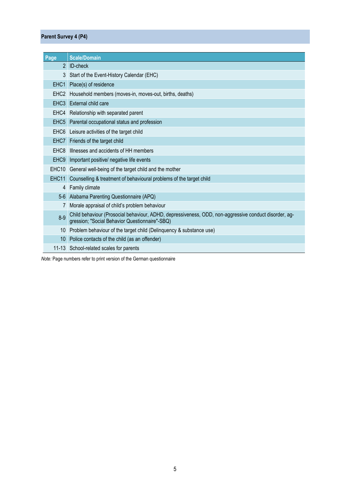#### **Parent Survey 4 (P4)**

| Page                 | <b>Scale/Domain</b>                                                                                                                                     |
|----------------------|---------------------------------------------------------------------------------------------------------------------------------------------------------|
| $\mathbf{2}^{\circ}$ | <b>ID-check</b>                                                                                                                                         |
| 3                    | Start of the Event-History Calendar (EHC)                                                                                                               |
| EHC <sub>1</sub>     | Place(s) of residence                                                                                                                                   |
| EHC <sub>2</sub>     | Household members (moves-in, moves-out, births, deaths)                                                                                                 |
| EHC <sub>3</sub>     | External child care                                                                                                                                     |
|                      | EHC4 Relationship with separated parent                                                                                                                 |
| EHC <sub>5</sub>     | Parental occupational status and profession                                                                                                             |
|                      | EHC6 Leisure activities of the target child                                                                                                             |
| EHC7                 | Friends of the target child                                                                                                                             |
|                      | EHC8 Illnesses and accidents of HH members                                                                                                              |
| EHC <sub>9</sub>     | Important positive/ negative life events                                                                                                                |
|                      | EHC10 General well-being of the target child and the mother                                                                                             |
| EHC11                | Counselling & treatment of behavioural problems of the target child                                                                                     |
|                      | 4 Family climate                                                                                                                                        |
|                      | 5-6 Alabama Parenting Questionnaire (APQ)                                                                                                               |
|                      | Morale appraisal of child's problem behaviour                                                                                                           |
| $8 - 9$              | Child behaviour (Prosocial behaviour, ADHD, depressiveness, ODD, non-aggressive conduct disorder, ag-<br>gression; "Social Behavior Questionnaire"-SBQ) |
|                      | 10 Problem behaviour of the target child (Delinquency & substance use)                                                                                  |
|                      | 10 Police contacts of the child (as an offender)                                                                                                        |
|                      | 11-13 School-related scales for parents                                                                                                                 |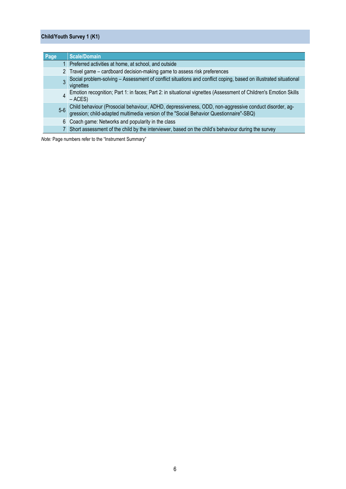#### **Child/Youth Survey 1 (K1)**

| Page  | <b>Scale/Domain</b>                                                                                                                                                                        |
|-------|--------------------------------------------------------------------------------------------------------------------------------------------------------------------------------------------|
|       | 1 Preferred activities at home, at school, and outside                                                                                                                                     |
|       | 2 Travel game - cardboard decision-making game to assess risk preferences                                                                                                                  |
|       | Social problem-solving - Assessment of conflict situations and conflict coping, based on illustrated situational<br>vignettes                                                              |
|       | Emotion recognition; Part 1: in faces; Part 2: in situational vignettes (Assessment of Children's Emotion Skills<br>$-$ ACES)                                                              |
| $5-6$ | Child behaviour (Prosocial behaviour, ADHD, depressiveness, ODD, non-aggressive conduct disorder, aggression; child-adapted multimedia version of the "Social Behavior Questionnaire"-SBQ) |
| 6.    | Coach game: Networks and popularity in the class                                                                                                                                           |
|       | Short assessment of the child by the interviewer, based on the child's behaviour during the survey                                                                                         |

*Note:* Page numbers refer to the "Instrument Summary"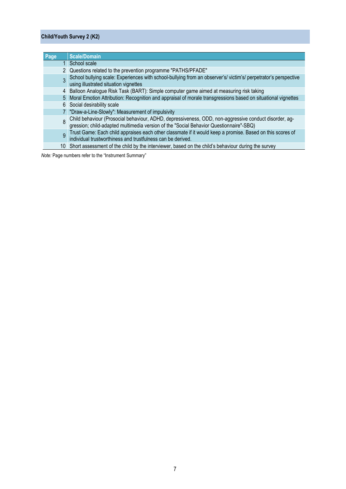#### **Child/Youth Survey 2 (K2)**

| Page | <b>Scale/Domain</b>                                                                                                                                                                        |
|------|--------------------------------------------------------------------------------------------------------------------------------------------------------------------------------------------|
|      | 1 School scale                                                                                                                                                                             |
|      | 2 Questions related to the prevention programme "PATHS/PFADE"                                                                                                                              |
|      | School bullying scale: Experiences with school-bullying from an observer's/victim's/perpetrator's perspective<br>using illustrated situation vignettes                                     |
|      | 4 Balloon Analogue Risk Task (BART): Simple computer game aimed at measuring risk taking                                                                                                   |
|      | 5 Moral Emotion Attribution: Recognition and appraisal of morale transgressions based on situational vignettes                                                                             |
|      | 6 Social desirability scale                                                                                                                                                                |
|      | "Draw-a-Line-Slowly": Measurement of impulsivity                                                                                                                                           |
|      | Child behaviour (Prosocial behaviour, ADHD, depressiveness, ODD, non-aggressive conduct disorder, aggression; child-adapted multimedia version of the "Social Behavior Questionnaire"-SBQ) |
| 9    | Trust Game: Each child appraises each other classmate if it would keep a promise. Based on this scores of individual trustworthiness and trustfulness can be derived.                      |
|      | 10 Short assessment of the child by the interviewer, based on the child's behaviour during the survey                                                                                      |

*Note:* Page numbers refer to the "Instrument Summary"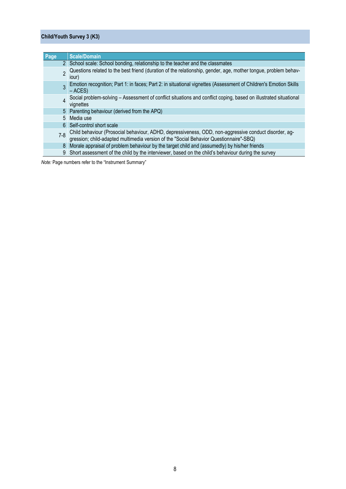#### **Child/Youth Survey 3 (K3)**

| Page           | <b>Scale/Domain</b>                                                                                                                                                                        |
|----------------|--------------------------------------------------------------------------------------------------------------------------------------------------------------------------------------------|
|                | 2 School scale: School bonding, relationship to the teacher and the classmates                                                                                                             |
| <sub>2</sub>   | Questions related to the best friend (duration of the relationship, gender, age, mother tongue, problem behav-<br>lour)                                                                    |
| $\overline{3}$ | Emotion recognition; Part 1: in faces; Part 2: in situational vignettes (Assessment of Children's Emotion Skills<br>$-$ ACES)                                                              |
|                | Social problem-solving - Assessment of conflict situations and conflict coping, based on illustrated situational<br>vignettes                                                              |
|                | 5 Parenting behaviour (derived from the APQ)                                                                                                                                               |
| 5              | Media use                                                                                                                                                                                  |
| 6.             | Self-control short scale                                                                                                                                                                   |
| $7 - 8$        | Child behaviour (Prosocial behaviour, ADHD, depressiveness, ODD, non-aggressive conduct disorder, aggression; child-adapted multimedia version of the "Social Behavior Questionnaire"-SBQ) |
| 8              | Morale appraisal of problem behaviour by the target child and (assumedly) by his/her friends                                                                                               |
| 9              | Short assessment of the child by the interviewer, based on the child's behaviour during the survey                                                                                         |

*Note:* Page numbers refer to the "Instrument Summary"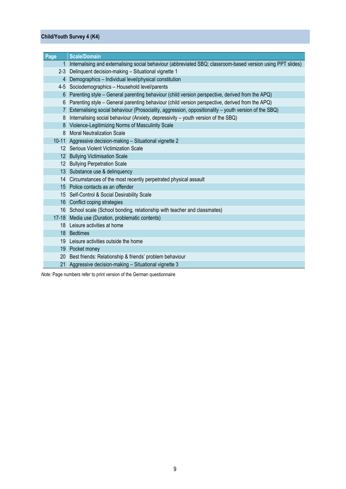#### **Child/Youth Survey 4 (K4)**

| Page           | <b>Scale/Domain</b>                                                                                          |
|----------------|--------------------------------------------------------------------------------------------------------------|
| $\mathbf{1}$   | Internalising and externalising social behaviour (abbreviated SBQ; classroom-based version using PPT slides) |
| $2 - 3$        | Delinquent decision-making - Situational vignette 1                                                          |
| $\overline{4}$ | Demographics - Individual level/physical constitution                                                        |
|                | 4-5 Sociodemographics - Household level/parents                                                              |
| 6              | Parenting style - General parenting behaviour (child version perspective, derived from the APQ)              |
| 6              | Parenting style – General parenting behaviour (child version perspective, derived from the APQ)              |
|                | Externalising social behaviour (Prosociality, aggression, oppositionality - youth version of the SBQ)        |
| 8              | Internalising social behaviour (Anxiety, depressivity - youth version of the SBQ)                            |
| 8              | Violence-Legitimizing Norms of Masculinity Scale                                                             |
| 8              | <b>Moral Neutralization Scale</b>                                                                            |
|                | 10-11 Aggressive decision-making - Situational vignette 2                                                    |
|                | 12 Serious Violent Victimization Scale                                                                       |
|                | 12 Bullying Victimisation Scale                                                                              |
|                | 12 Bullying Perpetration Scale                                                                               |
|                | 13 Substance use & delinquency                                                                               |
|                | 14 Circumstances of the most recently perpetrated physical assault                                           |
|                | 15 Police contacts as an offender                                                                            |
|                | 15 Self-Control & Social Desirability Scale                                                                  |
|                | 16 Conflict coping strategies                                                                                |
|                | 16 School scale (School bonding, relationship with teacher and classmates)                                   |
|                | 17-18 Media use (Duration, problematic contents)                                                             |
|                | 18 Leisure activities at home                                                                                |
|                | 18 Bedtimes                                                                                                  |
| 19             | Leisure activities outside the home                                                                          |
| 19             | Pocket money                                                                                                 |
| 20             | Best friends: Relationship & friends' problem behaviour                                                      |
|                | 21 Aggressive decision-making - Situational vignette 3                                                       |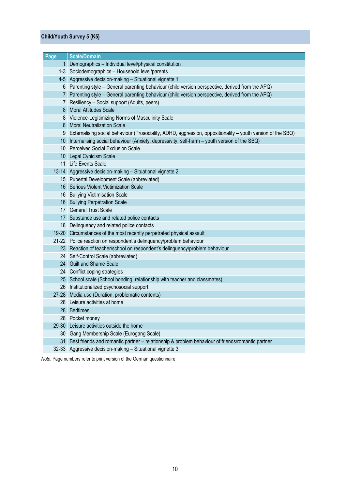#### **Child/Youth Survey 5 (K5)**

| Page            | <b>Scale/Domain</b>                                                                                           |
|-----------------|---------------------------------------------------------------------------------------------------------------|
| 1 <sup>1</sup>  | Demographics - Individual level/physical constitution                                                         |
|                 | 1-3 Sociodemographics - Household level/parents                                                               |
|                 | 4-5 Aggressive decision-making - Situational vignette 1                                                       |
| 6               | Parenting style - General parenting behaviour (child version perspective, derived from the APQ)               |
| 7 <sup>1</sup>  | Parenting style - General parenting behaviour (child version perspective, derived from the APQ)               |
| 7               | Resiliency - Social support (Adults, peers)                                                                   |
| 8               | <b>Moral Attitudes Scale</b>                                                                                  |
| 8               | Violence-Legitimizing Norms of Masculinity Scale                                                              |
| 8               | <b>Moral Neutralization Scale</b>                                                                             |
|                 | 9 Externalising social behaviour (Prosociality, ADHD, aggression, oppositionality – youth version of the SBQ) |
| 10 <sup>°</sup> | Internalising social behaviour (Anxiety, depressivity, self-harm - youth version of the SBQ)                  |
| 10              | <b>Perceived Social Exclusion Scale</b>                                                                       |
|                 | 10 Legal Cynicism Scale                                                                                       |
|                 | 11 Life Events Scale                                                                                          |
|                 | 13-14 Aggressive decision-making - Situational vignette 2                                                     |
|                 | 15 Pubertal Development Scale (abbreviated)                                                                   |
|                 | 16 Serious Violent Victimization Scale                                                                        |
|                 | 16 Bullying Victimisation Scale                                                                               |
|                 | 16 Bullying Perpetration Scale                                                                                |
|                 | 17 General Trust Scale                                                                                        |
|                 | 17 Substance use and related police contacts                                                                  |
|                 | 18 Delinquency and related police contacts                                                                    |
|                 | 19-20 Circumstances of the most recently perpetrated physical assault                                         |
|                 | 21-22 Police reaction on respondent's delinquency/problem behaviour                                           |
|                 | 23 Reaction of teacher/school on respondent's delinquency/problem behaviour                                   |
|                 | 24 Self-Control Scale (abbreviated)                                                                           |
|                 | 24 Guilt and Shame Scale                                                                                      |
|                 | 24 Conflict coping strategies                                                                                 |
|                 | 25 School scale (School bonding, relationship with teacher and classmates)                                    |
|                 | 26 Institutionalized psychosocial support                                                                     |
|                 | 27-28 Media use (Duration, problematic contents)                                                              |
|                 | 28 Leisure activities at home                                                                                 |
|                 | 28 Bedtimes                                                                                                   |
|                 | 28 Pocket money                                                                                               |
| $29 - 30$       | Leisure activities outside the home                                                                           |
| 30 <sup>°</sup> | Gang Membership Scale (Eurogang Scale)                                                                        |
| 31              | Best friends and romantic partner - relationship & problem behaviour of friends/romantic partner              |
|                 | 32-33 Aggressive decision-making - Situational vignette 3                                                     |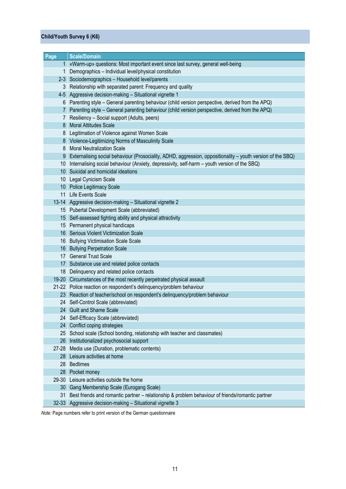#### **Child/Youth Survey 6 (K6)**

| Page         | <b>Scale/Domain</b>                                                                                         |
|--------------|-------------------------------------------------------------------------------------------------------------|
|              | 1 «Warm-up» questions: Most important event since last survey, general well-being                           |
| $\mathbf{1}$ | Demographics - Individual level/physical constitution                                                       |
| $2 - 3$      | Sociodemographics - Household level/parents                                                                 |
| 3            | Relationship with separated parent: Frequency and quality                                                   |
|              | 4-5 Aggressive decision-making - Situational vignette 1                                                     |
| 6            | Parenting style - General parenting behaviour (child version perspective, derived from the APQ)             |
|              | 7 Parenting style - General parenting behaviour (child version perspective, derived from the APQ)           |
|              | 7 Resiliency - Social support (Adults, peers)                                                               |
| 8            | <b>Moral Attitudes Scale</b>                                                                                |
|              | 8 Legitimation of Violence against Women Scale                                                              |
|              | 8 Violence-Legitimizing Norms of Masculinity Scale                                                          |
| 8            | <b>Moral Neutralization Scale</b>                                                                           |
| 9            | Externalising social behaviour (Prosociality, ADHD, aggression, oppositionality – youth version of the SBQ) |
| 10           | Internalising social behaviour (Anxiety, depressivity, self-harm - youth version of the SBQ)                |
|              | 10 Suicidal and homicidal ideations                                                                         |
|              | 10 Legal Cynicism Scale                                                                                     |
|              | 10 Police Legitimacy Scale                                                                                  |
|              | 11 Life Events Scale                                                                                        |
|              | 13-14 Aggressive decision-making - Situational vignette 2                                                   |
|              | 15 Pubertal Development Scale (abbreviated)                                                                 |
|              | 15 Self-assessed fighting ability and physical attractivity                                                 |
|              | 15 Permanent physical handicaps                                                                             |
| 16           | Serious Violent Victimization Scale                                                                         |
|              | 16 Bullying Victimisation Scale Scale                                                                       |
| 16           | <b>Bullying Perpetration Scale</b>                                                                          |
|              | 17 General Trust Scale                                                                                      |
|              | 17 Substance use and related police contacts                                                                |
|              | 18 Delinquency and related police contacts                                                                  |
|              | 19-20 Circumstances of the most recently perpetrated physical assault                                       |
|              | 21-22 Police reaction on respondent's delinquency/problem behaviour                                         |
|              | 23 Reaction of teacher/school on respondent's delinquency/problem behaviour                                 |
|              | 24 Self-Control Scale (abbreviated)                                                                         |
|              | 24 Guilt and Shame Scale<br>24 Self-Efficacy Scale (abbreviated)                                            |
|              | 24 Conflict coping strategies                                                                               |
|              | 25 School scale (School bonding, relationship with teacher and classmates)                                  |
| 26           | Institutionalized psychosocial support                                                                      |
| 27-28        | Media use (Duration, problematic contents)                                                                  |
|              | 28 Leisure activities at home                                                                               |
| 28           | <b>Bedtimes</b>                                                                                             |
| 28           | Pocket money                                                                                                |
|              | 29-30 Leisure activities outside the home                                                                   |
|              | 30 Gang Membership Scale (Eurogang Scale)                                                                   |
| 31           | Best friends and romantic partner - relationship & problem behaviour of friends/romantic partner            |
| $32 - 33$    | Aggressive decision-making - Situational vignette 3                                                         |
|              |                                                                                                             |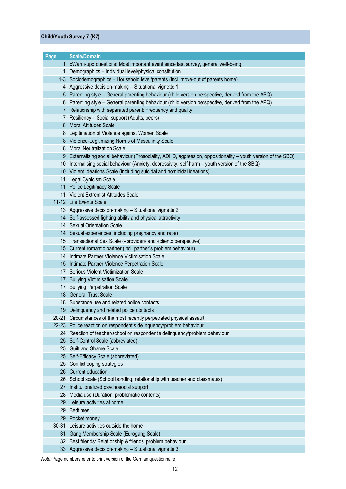#### **Child/Youth Survey 7 (K7)**

| Page            | <b>Scale/Domain</b>                                                                                         |
|-----------------|-------------------------------------------------------------------------------------------------------------|
|                 | 1 «Warm-up» questions: Most important event since last survey, general well-being                           |
| $\mathbf 1$     | Demographics - Individual level/physical constitution                                                       |
|                 | 1-3 Sociodemographics - Household level/parents (incl. move-out of parents home)                            |
| 4               | Aggressive decision-making - Situational vignette 1                                                         |
| 5               | Parenting style - General parenting behaviour (child version perspective, derived from the APQ)             |
| 6               | Parenting style - General parenting behaviour (child version perspective, derived from the APQ)             |
| 7 <sup>1</sup>  | Relationship with separated parent: Frequency and quality                                                   |
| 7               | Resiliency - Social support (Adults, peers)                                                                 |
| 8               | <b>Moral Attitudes Scale</b>                                                                                |
| 8               | Legitimation of Violence against Women Scale                                                                |
|                 | 8 Violence-Legitimizing Norms of Masculinity Scale                                                          |
| 8               | <b>Moral Neutralization Scale</b>                                                                           |
| 9               | Externalising social behaviour (Prosociality, ADHD, aggression, oppositionality – youth version of the SBQ) |
| 10              | Internalising social behaviour (Anxiety, depressivity, self-harm - youth version of the SBQ)                |
|                 | 10 Violent Ideations Scale (including suicidal and homicidal ideations)                                     |
| 11              | Legal Cynicism Scale                                                                                        |
|                 | 11 Police Legitimacy Scale                                                                                  |
|                 | 11 Violent Extremist Attitudes Scale                                                                        |
|                 | 11-12 Life Events Scale                                                                                     |
|                 | 13 Aggressive decision-making - Situational vignette 2                                                      |
|                 | 14 Self-assessed fighting ability and physical attractivity                                                 |
|                 | 14 Sexual Orientation Scale                                                                                 |
|                 | 14 Sexual experiences (including pregnancy and rape)                                                        |
|                 | 15 Transactional Sex Scale («provider» and «client» perspective)                                            |
|                 | 15 Current romantic partner (incl. partner's problem behaviour)                                             |
|                 | 14 Intimate Partner Violence Victimisation Scale                                                            |
|                 | 15 Intimate Partner Violence Perpetration Scale                                                             |
|                 | 17 Serious Violent Victimization Scale                                                                      |
|                 | 17 Bullying Victimisation Scale                                                                             |
| 17              | <b>Bullying Perpetration Scale</b>                                                                          |
|                 | 18 General Trust Scale                                                                                      |
|                 | 18 Substance use and related police contacts                                                                |
| 19              | Delinquency and related police contacts                                                                     |
|                 | 20-21 Circumstances of the most recently perpetrated physical assault                                       |
|                 | 22-23 Police reaction on respondent's delinquency/problem behaviour                                         |
| 24              | Reaction of teacher/school on respondent's delinquency/problem behaviour                                    |
|                 | 25 Self-Control Scale (abbreviated)                                                                         |
| 25              | <b>Guilt and Shame Scale</b>                                                                                |
|                 | 25 Self-Efficacy Scale (abbreviated)                                                                        |
|                 | 25 Conflict coping strategies                                                                               |
|                 | 26 Current education                                                                                        |
|                 | 26 School scale (School bonding, relationship with teacher and classmates)                                  |
| 27              | Institutionalized psychosocial support                                                                      |
| 28              | Media use (Duration, problematic contents)                                                                  |
| 29              | Leisure activities at home                                                                                  |
| 29              | <b>Bedtimes</b>                                                                                             |
| 29              | Pocket money                                                                                                |
| $30 - 31$       | Leisure activities outside the home                                                                         |
| 31 <sup>1</sup> | Gang Membership Scale (Eurogang Scale)                                                                      |
| 32              | Best friends: Relationship & friends' problem behaviour                                                     |
|                 | 33 Aggressive decision-making - Situational vignette 3                                                      |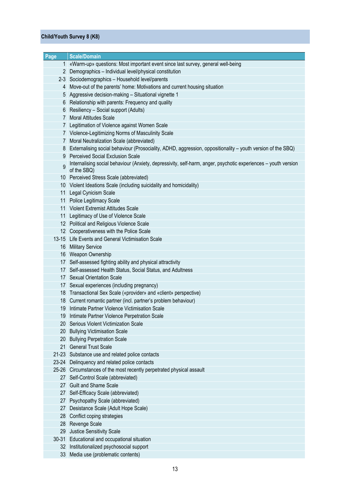#### **Child/Youth Survey 8 (K8)**

| Page            | <b>Scale/Domain</b>                                                                                            |
|-----------------|----------------------------------------------------------------------------------------------------------------|
|                 | 1 «Warm-up» questions: Most important event since last survey, general well-being                              |
|                 | 2 Demographics - Individual level/physical constitution                                                        |
|                 | 2-3 Sociodemographics - Household level/parents                                                                |
| 4               | Move-out of the parents' home: Motivations and current housing situation                                       |
|                 | 5 Aggressive decision-making - Situational vignette 1                                                          |
| 6.              | Relationship with parents: Frequency and quality                                                               |
| 6.              | Resiliency - Social support (Adults)                                                                           |
| 7               | <b>Moral Attitudes Scale</b>                                                                                   |
| 7.              | Legitimation of Violence against Women Scale                                                                   |
|                 | 7 Violence-Legitimizing Norms of Masculinity Scale                                                             |
| 7.              | Moral Neutralization Scale (abbreviated)                                                                       |
|                 | 8 Externalising social behaviour (Prosociality, ADHD, aggression, oppositionality – youth version of the SBQ)  |
|                 | 9 Perceived Social Exclusion Scale                                                                             |
|                 | Internalising social behaviour (Anxiety, depressivity, self-harm, anger, psychotic experiences - youth version |
| 9               | of the SBQ)                                                                                                    |
|                 | 10 Perceived Stress Scale (abbreviated)                                                                        |
|                 | 10 Violent Ideations Scale (including suicidality and homicidality)                                            |
| 11 <sup>1</sup> | Legal Cynicism Scale                                                                                           |
|                 | 11 Police Legitimacy Scale                                                                                     |
|                 | 11 Violent Extremist Attitudes Scale                                                                           |
|                 | 11 Legitimacy of Use of Violence Scale                                                                         |
|                 | 12 Political and Religious Violence Scale                                                                      |
|                 | 12 Cooperativeness with the Police Scale                                                                       |
|                 | 13-15 Life Events and General Victimisation Scale                                                              |
|                 | 16 Military Service                                                                                            |
|                 | 16 Weapon Ownership                                                                                            |
|                 | 17 Self-assessed fighting ability and physical attractivity                                                    |
| 17              | Self-assessed Health Status, Social Status, and Adultness                                                      |
|                 | 17 Sexual Orientation Scale                                                                                    |
|                 | 17 Sexual experiences (including pregnancy)                                                                    |
|                 | 18 Transactional Sex Scale («provider» and «client» perspective)                                               |
|                 | 18 Current romantic partner (incl. partner's problem behaviour)                                                |
|                 | 19 Intimate Partner Violence Victimisation Scale                                                               |
|                 | 19 Intimate Partner Violence Perpetration Scale                                                                |
|                 | 20 Serious Violent Victimization Scale                                                                         |
| $20-1$          | <b>Bullying Victimisation Scale</b>                                                                            |
| 20 <sup>°</sup> | <b>Bullying Perpetration Scale</b>                                                                             |
|                 | 21 General Trust Scale                                                                                         |
|                 | 21-23 Substance use and related police contacts                                                                |
|                 | 23-24 Delinquency and related police contacts                                                                  |
|                 | 25-26 Circumstances of the most recently perpetrated physical assault                                          |
| 27              | Self-Control Scale (abbreviated)                                                                               |
|                 | 27 Guilt and Shame Scale                                                                                       |
| 27 <sub>1</sub> | Self-Efficacy Scale (abbreviated)                                                                              |
| 27              | Psychopathy Scale (abbreviated)                                                                                |
| 27              | Desistance Scale (Adult Hope Scale)                                                                            |
| 28 <sup>1</sup> | Conflict coping strategies                                                                                     |
|                 | 28 Revenge Scale                                                                                               |
|                 | 29 Justice Sensitivity Scale                                                                                   |
| $30-31$         | Educational and occupational situation                                                                         |
|                 | 32 Institutionalized psychosocial support                                                                      |
| 33              | Media use (problematic contents)                                                                               |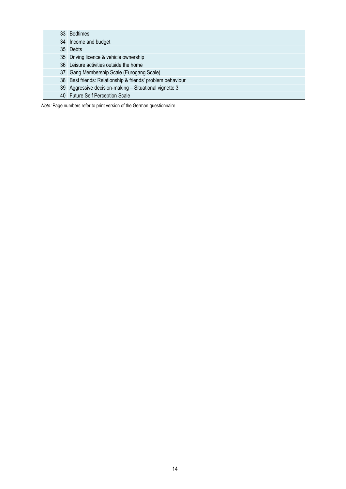Bedtimes Income and budget Debts Driving licence & vehicle ownership Leisure activities outside the home Gang Membership Scale (Eurogang Scale) Best friends: Relationship & friends' problem behaviour Aggressive decision-making – Situational vignette 3 Future Self Perception Scale